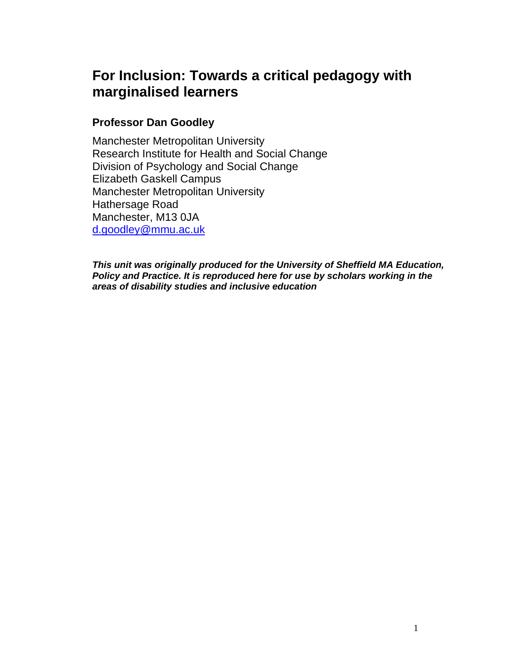# **For Inclusion: Towards a critical pedagogy with marginalised learners**

## **Professor Dan Goodley**

Manchester Metropolitan University Research Institute for Health and Social Change Division of Psychology and Social Change Elizabeth Gaskell Campus Manchester Metropolitan University Hathersage Road Manchester, M13 0JA d.goodley@mmu.ac.uk

*This unit was originally produced for the University of Sheffield MA Education, Policy and Practice. It is reproduced here for use by scholars working in the areas of disability studies and inclusive education*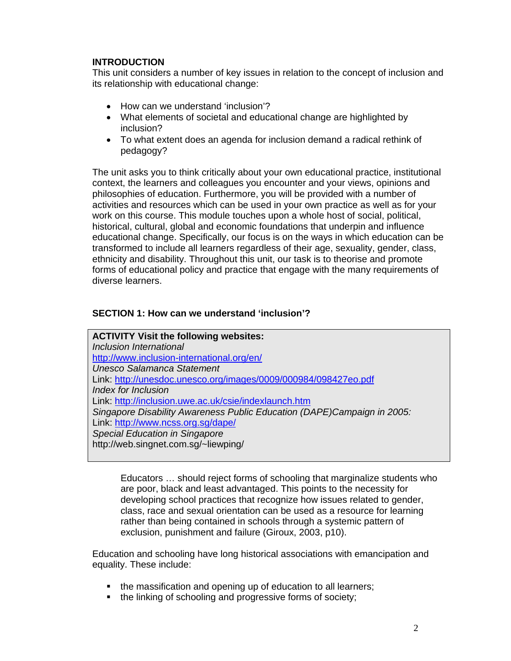## **INTRODUCTION**

This unit considers a number of key issues in relation to the concept of inclusion and its relationship with educational change:

- How can we understand 'inclusion'?
- What elements of societal and educational change are highlighted by inclusion?
- To what extent does an agenda for inclusion demand a radical rethink of pedagogy?

The unit asks you to think critically about your own educational practice, institutional context, the learners and colleagues you encounter and your views, opinions and philosophies of education. Furthermore, you will be provided with a number of activities and resources which can be used in your own practice as well as for your work on this course. This module touches upon a whole host of social, political, historical, cultural, global and economic foundations that underpin and influence educational change. Specifically, our focus is on the ways in which education can be transformed to include all learners regardless of their age, sexuality, gender, class, ethnicity and disability. Throughout this unit, our task is to theorise and promote forms of educational policy and practice that engage with the many requirements of diverse learners.

## **SECTION 1: How can we understand 'inclusion'?**

**ACTIVITY Visit the following websites:**  *Inclusion International*  http://www.inclusion-international.org/en/ *Unesco Salamanca Statement*  Link: http://unesdoc.unesco.org/images/0009/000984/098427eo.pdf *Index for Inclusion*  Link: http://inclusion.uwe.ac.uk/csie/indexlaunch.htm *Singapore Disability Awareness Public Education (DAPE)Campaign in 2005:*  Link: http://www.ncss.org.sg/dape/ *Special Education in Singapore*  http://web.singnet.com.sg/~liewping/

Educators … should reject forms of schooling that marginalize students who are poor, black and least advantaged. This points to the necessity for developing school practices that recognize how issues related to gender, class, race and sexual orientation can be used as a resource for learning rather than being contained in schools through a systemic pattern of exclusion, punishment and failure (Giroux, 2003, p10).

Education and schooling have long historical associations with emancipation and equality. These include:

- the massification and opening up of education to all learners;
- the linking of schooling and progressive forms of society;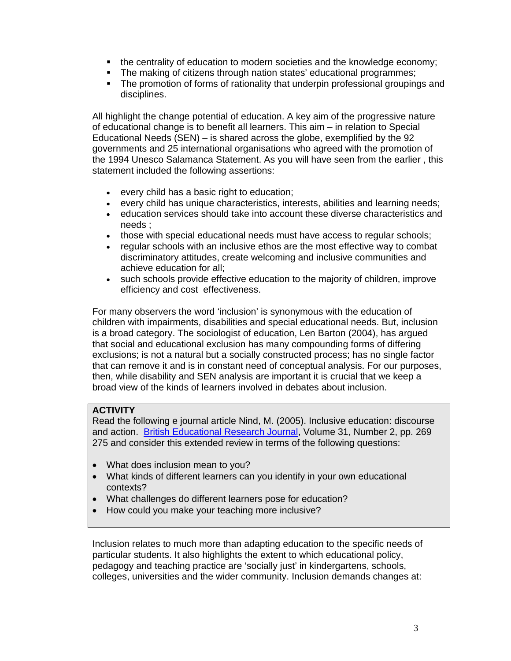- the centrality of education to modern societies and the knowledge economy;
- The making of citizens through nation states' educational programmes;
- The promotion of forms of rationality that underpin professional groupings and disciplines.

All highlight the change potential of education. A key aim of the progressive nature of educational change is to benefit all learners. This aim – in relation to Special Educational Needs (SEN) – is shared across the globe, exemplified by the 92 governments and 25 international organisations who agreed with the promotion of the 1994 Unesco Salamanca Statement. As you will have seen from the earlier , this statement included the following assertions:

- every child has a basic right to education;
- every child has unique characteristics, interests, abilities and learning needs;
- education services should take into account these diverse characteristics and needs ;
- those with special educational needs must have access to regular schools;
- regular schools with an inclusive ethos are the most effective way to combat discriminatory attitudes, create welcoming and inclusive communities and achieve education for all;
- such schools provide effective education to the majority of children, improve efficiency and cost effectiveness.

For many observers the word 'inclusion' is synonymous with the education of children with impairments, disabilities and special educational needs. But, inclusion is a broad category. The sociologist of education, Len Barton (2004), has argued that social and educational exclusion has many compounding forms of differing exclusions; is not a natural but a socially constructed process; has no single factor that can remove it and is in constant need of conceptual analysis. For our purposes, then, while disability and SEN analysis are important it is crucial that we keep a broad view of the kinds of learners involved in debates about inclusion.

#### **ACTIVITY**

Read the following e journal article Nind, M. (2005). Inclusive education: discourse and action. British Educational Research Journal, Volume 31, Number 2, pp. 269 275 and consider this extended review in terms of the following questions:

- What does inclusion mean to you?
- What kinds of different learners can you identify in your own educational contexts?
- What challenges do different learners pose for education?
- How could you make your teaching more inclusive?

Inclusion relates to much more than adapting education to the specific needs of particular students. It also highlights the extent to which educational policy, pedagogy and teaching practice are 'socially just' in kindergartens, schools, colleges, universities and the wider community. Inclusion demands changes at: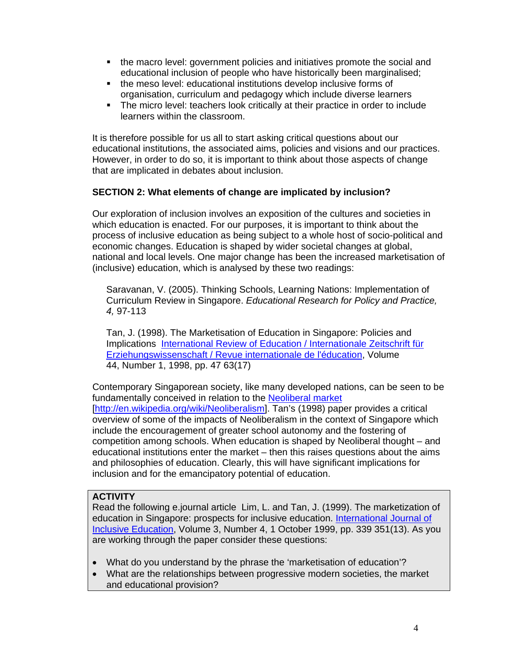- the macro level: government policies and initiatives promote the social and educational inclusion of people who have historically been marginalised;
- the meso level: educational institutions develop inclusive forms of organisation, curriculum and pedagogy which include diverse learners
- The micro level: teachers look critically at their practice in order to include learners within the classroom.

It is therefore possible for us all to start asking critical questions about our educational institutions, the associated aims, policies and visions and our practices. However, in order to do so, it is important to think about those aspects of change that are implicated in debates about inclusion.

## **SECTION 2: What elements of change are implicated by inclusion?**

Our exploration of inclusion involves an exposition of the cultures and societies in which education is enacted. For our purposes, it is important to think about the process of inclusive education as being subject to a whole host of socio-political and economic changes. Education is shaped by wider societal changes at global, national and local levels. One major change has been the increased marketisation of (inclusive) education, which is analysed by these two readings:

Saravanan, V. (2005). Thinking Schools, Learning Nations: Implementation of Curriculum Review in Singapore. *Educational Research for Policy and Practice, 4,* 97-113

Tan, J. (1998). The Marketisation of Education in Singapore: Policies and Implications International Review of Education / Internationale Zeitschrift für Erziehungswissenschaft / Revue internationale de l'éducation, Volume 44, Number 1, 1998, pp. 47 63(17)

Contemporary Singaporean society, like many developed nations, can be seen to be fundamentally conceived in relation to the Neoliberal market [http://en.wikipedia.org/wiki/Neoliberalism]. Tan's (1998) paper provides a critical overview of some of the impacts of Neoliberalism in the context of Singapore which include the encouragement of greater school autonomy and the fostering of competition among schools. When education is shaped by Neoliberal thought – and educational institutions enter the market – then this raises questions about the aims and philosophies of education. Clearly, this will have significant implications for inclusion and for the emancipatory potential of education.

#### **ACTIVITY**

Read the following e.journal article Lim, L. and Tan, J. (1999). The marketization of education in Singapore: prospects for inclusive education. International Journal of Inclusive Education, Volume 3, Number 4, 1 October 1999, pp. 339 351(13). As you are working through the paper consider these questions:

- What do you understand by the phrase the 'marketisation of education'?
- What are the relationships between progressive modern societies, the market and educational provision?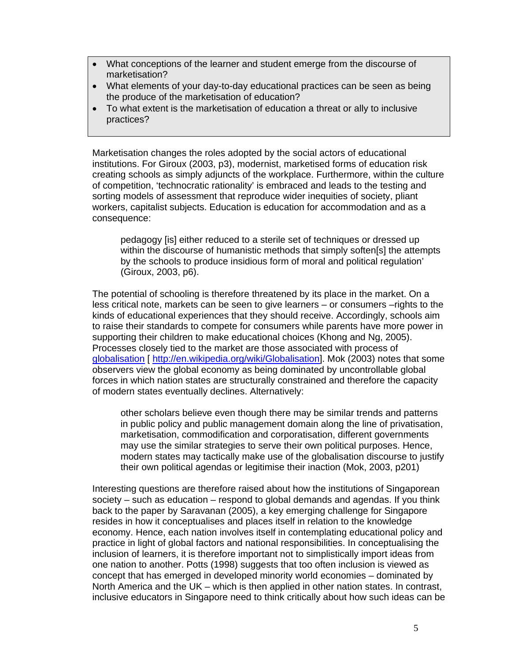- What conceptions of the learner and student emerge from the discourse of marketisation?
- What elements of your day-to-day educational practices can be seen as being the produce of the marketisation of education?
- To what extent is the marketisation of education a threat or ally to inclusive practices?

Marketisation changes the roles adopted by the social actors of educational institutions. For Giroux (2003, p3), modernist, marketised forms of education risk creating schools as simply adjuncts of the workplace. Furthermore, within the culture of competition, 'technocratic rationality' is embraced and leads to the testing and sorting models of assessment that reproduce wider inequities of society, pliant workers, capitalist subjects. Education is education for accommodation and as a consequence:

pedagogy [is] either reduced to a sterile set of techniques or dressed up within the discourse of humanistic methods that simply soften[s] the attempts by the schools to produce insidious form of moral and political regulation' (Giroux, 2003, p6).

The potential of schooling is therefore threatened by its place in the market. On a less critical note, markets can be seen to give learners – or consumers –rights to the kinds of educational experiences that they should receive. Accordingly, schools aim to raise their standards to compete for consumers while parents have more power in supporting their children to make educational choices (Khong and Ng, 2005). Processes closely tied to the market are those associated with process of globalisation [ http://en.wikipedia.org/wiki/Globalisation]. Mok (2003) notes that some observers view the global economy as being dominated by uncontrollable global forces in which nation states are structurally constrained and therefore the capacity of modern states eventually declines. Alternatively:

other scholars believe even though there may be similar trends and patterns in public policy and public management domain along the line of privatisation, marketisation, commodification and corporatisation, different governments may use the similar strategies to serve their own political purposes. Hence, modern states may tactically make use of the globalisation discourse to justify their own political agendas or legitimise their inaction (Mok, 2003, p201)

Interesting questions are therefore raised about how the institutions of Singaporean society – such as education – respond to global demands and agendas. If you think back to the paper by Saravanan (2005), a key emerging challenge for Singapore resides in how it conceptualises and places itself in relation to the knowledge economy. Hence, each nation involves itself in contemplating educational policy and practice in light of global factors and national responsibilities. In conceptualising the inclusion of learners, it is therefore important not to simplistically import ideas from one nation to another. Potts (1998) suggests that too often inclusion is viewed as concept that has emerged in developed minority world economies – dominated by North America and the UK – which is then applied in other nation states. In contrast, inclusive educators in Singapore need to think critically about how such ideas can be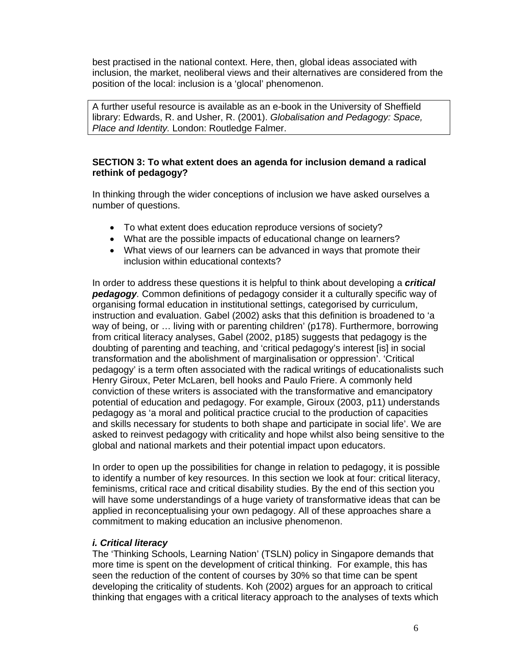best practised in the national context. Here, then, global ideas associated with inclusion, the market, neoliberal views and their alternatives are considered from the position of the local: inclusion is a 'glocal' phenomenon.

A further useful resource is available as an e-book in the University of Sheffield library: Edwards, R. and Usher, R. (2001). *Globalisation and Pedagogy: Space, Place and Identity.* London: Routledge Falmer.

### **SECTION 3: To what extent does an agenda for inclusion demand a radical rethink of pedagogy?**

In thinking through the wider conceptions of inclusion we have asked ourselves a number of questions.

- To what extent does education reproduce versions of society?
- What are the possible impacts of educational change on learners?
- What views of our learners can be advanced in ways that promote their inclusion within educational contexts?

In order to address these questions it is helpful to think about developing a *critical pedagogy.* Common definitions of pedagogy consider it a culturally specific way of organising formal education in institutional settings, categorised by curriculum, instruction and evaluation. Gabel (2002) asks that this definition is broadened to 'a way of being, or … living with or parenting children' (p178). Furthermore, borrowing from critical literacy analyses, Gabel (2002, p185) suggests that pedagogy is the doubting of parenting and teaching, and 'critical pedagogy's interest [is] in social transformation and the abolishment of marginalisation or oppression'. 'Critical pedagogy' is a term often associated with the radical writings of educationalists such Henry Giroux, Peter McLaren, bell hooks and Paulo Friere. A commonly held conviction of these writers is associated with the transformative and emancipatory potential of education and pedagogy. For example, Giroux (2003, p11) understands pedagogy as 'a moral and political practice crucial to the production of capacities and skills necessary for students to both shape and participate in social life'. We are asked to reinvest pedagogy with criticality and hope whilst also being sensitive to the global and national markets and their potential impact upon educators.

In order to open up the possibilities for change in relation to pedagogy, it is possible to identify a number of key resources. In this section we look at four: critical literacy, feminisms, critical race and critical disability studies. By the end of this section you will have some understandings of a huge variety of transformative ideas that can be applied in reconceptualising your own pedagogy. All of these approaches share a commitment to making education an inclusive phenomenon.

#### *i. Critical literacy*

The 'Thinking Schools, Learning Nation' (TSLN) policy in Singapore demands that more time is spent on the development of critical thinking. For example, this has seen the reduction of the content of courses by 30% so that time can be spent developing the criticality of students. Koh (2002) argues for an approach to critical thinking that engages with a critical literacy approach to the analyses of texts which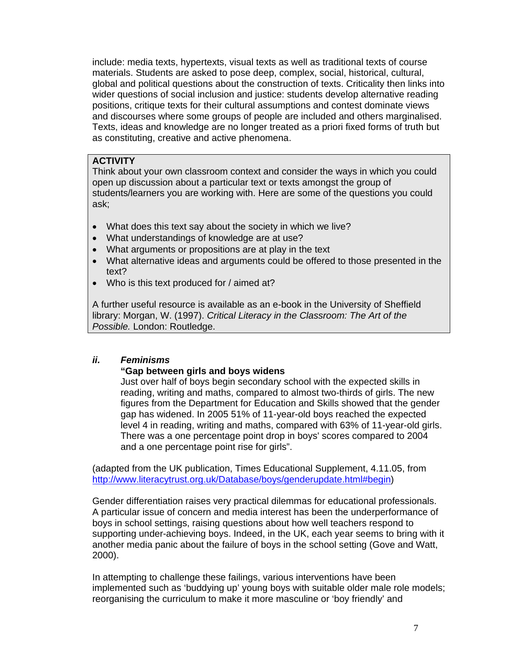include: media texts, hypertexts, visual texts as well as traditional texts of course materials. Students are asked to pose deep, complex, social, historical, cultural, global and political questions about the construction of texts. Criticality then links into wider questions of social inclusion and justice: students develop alternative reading positions, critique texts for their cultural assumptions and contest dominate views and discourses where some groups of people are included and others marginalised. Texts, ideas and knowledge are no longer treated as a priori fixed forms of truth but as constituting, creative and active phenomena.

#### **ACTIVITY**

Think about your own classroom context and consider the ways in which you could open up discussion about a particular text or texts amongst the group of students/learners you are working with. Here are some of the questions you could ask;

- What does this text say about the society in which we live?
- What understandings of knowledge are at use?
- What arguments or propositions are at play in the text
- What alternative ideas and arguments could be offered to those presented in the text?
- Who is this text produced for / aimed at?

A further useful resource is available as an e-book in the University of Sheffield library: Morgan, W. (1997). *Critical Literacy in the Classroom: The Art of the Possible.* London: Routledge.

## *ii. Feminisms*

#### **"Gap between girls and boys widens**

Just over half of boys begin secondary school with the expected skills in reading, writing and maths, compared to almost two-thirds of girls. The new figures from the Department for Education and Skills showed that the gender gap has widened. In 2005 51% of 11-year-old boys reached the expected level 4 in reading, writing and maths, compared with 63% of 11-year-old girls. There was a one percentage point drop in boys' scores compared to 2004 and a one percentage point rise for girls".

(adapted from the UK publication, Times Educational Supplement, 4.11.05, from http://www.literacytrust.org.uk/Database/boys/genderupdate.html#begin)

Gender differentiation raises very practical dilemmas for educational professionals. A particular issue of concern and media interest has been the underperformance of boys in school settings, raising questions about how well teachers respond to supporting under-achieving boys. Indeed, in the UK, each year seems to bring with it another media panic about the failure of boys in the school setting (Gove and Watt, 2000).

In attempting to challenge these failings, various interventions have been implemented such as 'buddying up' young boys with suitable older male role models; reorganising the curriculum to make it more masculine or 'boy friendly' and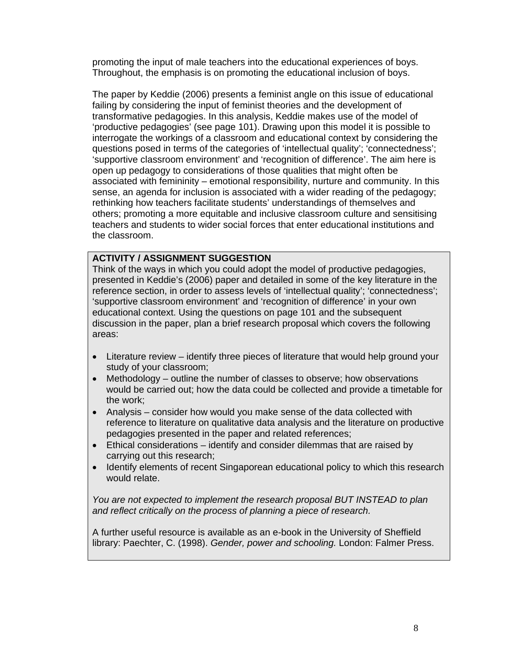promoting the input of male teachers into the educational experiences of boys. Throughout, the emphasis is on promoting the educational inclusion of boys.

The paper by Keddie (2006) presents a feminist angle on this issue of educational failing by considering the input of feminist theories and the development of transformative pedagogies. In this analysis, Keddie makes use of the model of 'productive pedagogies' (see page 101). Drawing upon this model it is possible to interrogate the workings of a classroom and educational context by considering the questions posed in terms of the categories of 'intellectual quality'; 'connectedness'; 'supportive classroom environment' and 'recognition of difference'. The aim here is open up pedagogy to considerations of those qualities that might often be associated with femininity – emotional responsibility, nurture and community. In this sense, an agenda for inclusion is associated with a wider reading of the pedagogy; rethinking how teachers facilitate students' understandings of themselves and others; promoting a more equitable and inclusive classroom culture and sensitising teachers and students to wider social forces that enter educational institutions and the classroom.

## **ACTIVITY / ASSIGNMENT SUGGESTION**

Think of the ways in which you could adopt the model of productive pedagogies, presented in Keddie's (2006) paper and detailed in some of the key literature in the reference section, in order to assess levels of 'intellectual quality'; 'connectedness'; 'supportive classroom environment' and 'recognition of difference' in your own educational context. Using the questions on page 101 and the subsequent discussion in the paper, plan a brief research proposal which covers the following areas:

- Literature review identify three pieces of literature that would help ground your study of your classroom;
- Methodology outline the number of classes to observe; how observations would be carried out; how the data could be collected and provide a timetable for the work;
- Analysis consider how would you make sense of the data collected with reference to literature on qualitative data analysis and the literature on productive pedagogies presented in the paper and related references;
- Ethical considerations identify and consider dilemmas that are raised by carrying out this research;
- Identify elements of recent Singaporean educational policy to which this research would relate.

*You are not expected to implement the research proposal BUT INSTEAD to plan and reflect critically on the process of planning a piece of research.* 

A further useful resource is available as an e-book in the University of Sheffield library: Paechter, C. (1998). *Gender, power and schooling.* London: Falmer Press.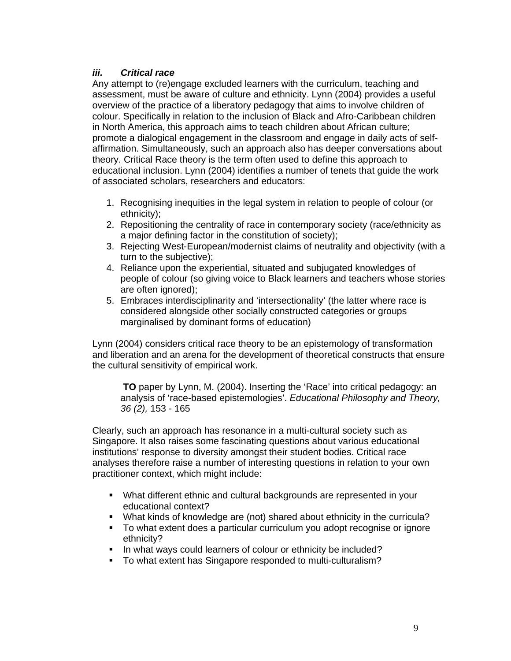## *iii. Critical race*

Any attempt to (re)engage excluded learners with the curriculum, teaching and assessment, must be aware of culture and ethnicity. Lynn (2004) provides a useful overview of the practice of a liberatory pedagogy that aims to involve children of colour. Specifically in relation to the inclusion of Black and Afro-Caribbean children in North America, this approach aims to teach children about African culture; promote a dialogical engagement in the classroom and engage in daily acts of selfaffirmation. Simultaneously, such an approach also has deeper conversations about theory. Critical Race theory is the term often used to define this approach to educational inclusion. Lynn (2004) identifies a number of tenets that guide the work of associated scholars, researchers and educators:

- 1. Recognising inequities in the legal system in relation to people of colour (or ethnicity);
- 2. Repositioning the centrality of race in contemporary society (race/ethnicity as a major defining factor in the constitution of society);
- 3. Rejecting West-European/modernist claims of neutrality and objectivity (with a turn to the subjective);
- 4. Reliance upon the experiential, situated and subjugated knowledges of people of colour (so giving voice to Black learners and teachers whose stories are often ignored);
- 5. Embraces interdisciplinarity and 'intersectionality' (the latter where race is considered alongside other socially constructed categories or groups marginalised by dominant forms of education)

Lynn (2004) considers critical race theory to be an epistemology of transformation and liberation and an arena for the development of theoretical constructs that ensure the cultural sensitivity of empirical work.

 **TO** paper by Lynn, M. (2004). Inserting the 'Race' into critical pedagogy: an analysis of 'race-based epistemologies'. *Educational Philosophy and Theory, 36 (2),* 153 - 165

Clearly, such an approach has resonance in a multi-cultural society such as Singapore. It also raises some fascinating questions about various educational institutions' response to diversity amongst their student bodies. Critical race analyses therefore raise a number of interesting questions in relation to your own practitioner context, which might include:

- What different ethnic and cultural backgrounds are represented in your educational context?
- What kinds of knowledge are (not) shared about ethnicity in the curricula?
- To what extent does a particular curriculum you adopt recognise or ignore ethnicity?
- In what ways could learners of colour or ethnicity be included?
- To what extent has Singapore responded to multi-culturalism?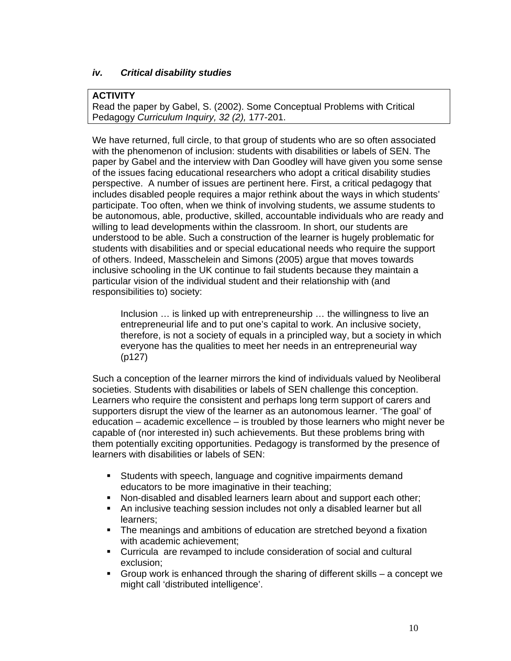## *iv. Critical disability studies*

#### **ACTIVITY**

Read the paper by Gabel, S. (2002). Some Conceptual Problems with Critical Pedagogy *Curriculum Inquiry, 32 (2),* 177-201.

We have returned, full circle, to that group of students who are so often associated with the phenomenon of inclusion: students with disabilities or labels of SEN. The paper by Gabel and the interview with Dan Goodley will have given you some sense of the issues facing educational researchers who adopt a critical disability studies perspective. A number of issues are pertinent here. First, a critical pedagogy that includes disabled people requires a major rethink about the ways in which students' participate. Too often, when we think of involving students, we assume students to be autonomous, able, productive, skilled, accountable individuals who are ready and willing to lead developments within the classroom. In short, our students are understood to be able. Such a construction of the learner is hugely problematic for students with disabilities and or special educational needs who require the support of others. Indeed, Masschelein and Simons (2005) argue that moves towards inclusive schooling in the UK continue to fail students because they maintain a particular vision of the individual student and their relationship with (and responsibilities to) society:

Inclusion … is linked up with entrepreneurship … the willingness to live an entrepreneurial life and to put one's capital to work. An inclusive society, therefore, is not a society of equals in a principled way, but a society in which everyone has the qualities to meet her needs in an entrepreneurial way (p127)

Such a conception of the learner mirrors the kind of individuals valued by Neoliberal societies. Students with disabilities or labels of SEN challenge this conception. Learners who require the consistent and perhaps long term support of carers and supporters disrupt the view of the learner as an autonomous learner. 'The goal' of education – academic excellence – is troubled by those learners who might never be capable of (nor interested in) such achievements. But these problems bring with them potentially exciting opportunities. Pedagogy is transformed by the presence of learners with disabilities or labels of SEN:

- **Students with speech, language and cognitive impairments demand** educators to be more imaginative in their teaching;
- Non-disabled and disabled learners learn about and support each other;
- An inclusive teaching session includes not only a disabled learner but all learners;
- The meanings and ambitions of education are stretched beyond a fixation with academic achievement;
- Curricula are revamped to include consideration of social and cultural exclusion;
- Group work is enhanced through the sharing of different skills a concept we might call 'distributed intelligence'.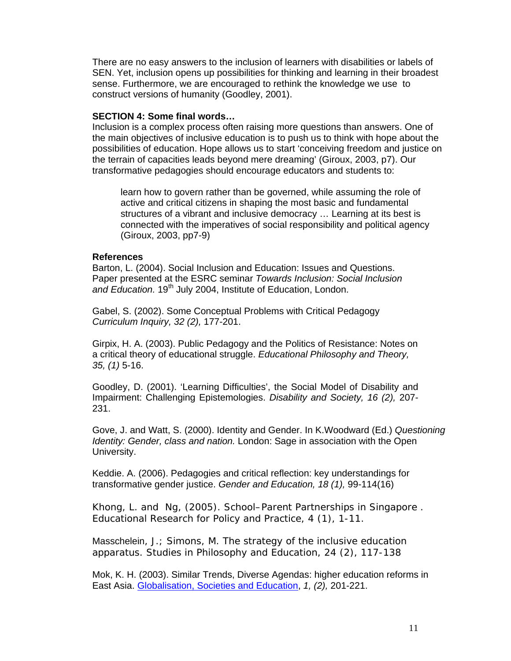There are no easy answers to the inclusion of learners with disabilities or labels of SEN. Yet, inclusion opens up possibilities for thinking and learning in their broadest sense. Furthermore, we are encouraged to rethink the knowledge we use to construct versions of humanity (Goodley, 2001).

#### **SECTION 4: Some final words…**

Inclusion is a complex process often raising more questions than answers. One of the main objectives of inclusive education is to push us to think with hope about the possibilities of education. Hope allows us to start 'conceiving freedom and justice on the terrain of capacities leads beyond mere dreaming' (Giroux, 2003, p7). Our transformative pedagogies should encourage educators and students to:

learn how to govern rather than be governed, while assuming the role of active and critical citizens in shaping the most basic and fundamental structures of a vibrant and inclusive democracy … Learning at its best is connected with the imperatives of social responsibility and political agency (Giroux, 2003, pp7-9)

#### **References**

Barton, L. (2004). Social Inclusion and Education: Issues and Questions. Paper presented at the ESRC seminar *Towards Inclusion: Social Inclusion*  and Education. 19<sup>th</sup> July 2004, Institute of Education, London.

Gabel, S. (2002). Some Conceptual Problems with Critical Pedagogy *Curriculum Inquiry, 32 (2),* 177-201.

Girpix, H. A. (2003). Public Pedagogy and the Politics of Resistance: Notes on a critical theory of educational struggle. *Educational Philosophy and Theory, 35, (1)* 5-16.

Goodley, D. (2001). 'Learning Difficulties', the Social Model of Disability and Impairment: Challenging Epistemologies. *Disability and Society, 16 (2),* 207- 231.

Gove, J. and Watt, S. (2000). Identity and Gender. In K.Woodward (Ed.) *Questioning Identity: Gender, class and nation.* London: Sage in association with the Open University.

Keddie. A. (2006). Pedagogies and critical reflection: key understandings for transformative gender justice. *Gender and Education, 18 (1),* 99-114(16)

Khong, L. and Ng, (2005). School–Parent Partnerships in Singapore . *Educational Research for Policy and Practice, 4 (1),* 1-11.

Masschelein, J.; Simons, M. The strategy of the inclusive education apparatus. *Studies in Philosophy and Education, 24 (2),* 117-138

Mok, K. H. (2003). Similar Trends, Diverse Agendas: higher education reforms in East Asia. Globalisation, Societies and Education, *1, (2),* 201-221.